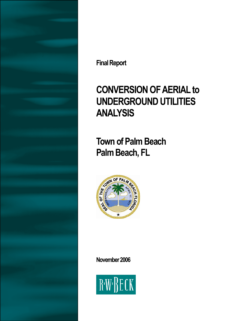

**Final Report** 

# **CONVERSION OF AERIAL to UNDERGROUND UTILITIES ANALYSIS**

**Town of Palm Beach Palm Beach, FL** 



**November 2006** 

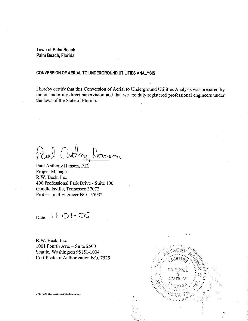**Town of Palm Beach** Palm Beach, Florida

#### CONVERSION OF AERIAL TO UNDERGROUND UTILITIES ANALYSIS

I hereby certify that this Conversion of Aerial to Underground Utilities Analysis was prepared by me or under my direct supervision and that we are duly registered professional engineers under the laws of the State of Florida.

Paul Anthony Hanson, P.E. Project Manager R.W. Beck, Inc. 400 Professional Park Drive - Suite 100 Goodlettsville, Tennessee 37072 Professional Engineer NO. 55932

Date: 11-01-06

R.W. Beck, Inc. 1001 Fourth Ave.  $-$  Suite 2500 Seattle, Washington 98151-1004 Certificate of Authorization NO. 7525



 $\hat{\mathbf{V}}$ 

G:\5776\05-01336\Drawings\Certification.doc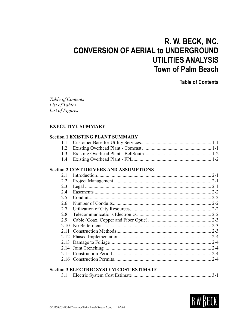## **R. W. BECK, INC. CONVERSION OF AERIAL to UNDERGROUND UTILITIES ANALYSIS Town of Palm Beach**

**Table of Contents** 

*Table of Contents List of Tables List of Figures* 

#### **EXECUTIVE SUMMARY**

#### **Section 1 EXISTING PLANT SUMMARY**

#### **Section 2 COST DRIVERS AND ASSUMPTIONS**

| 2.1  | $2 - 1$ |
|------|---------|
| 2.2  |         |
| 2.3  |         |
| 2.4  |         |
| 2.5  |         |
| 2.6  |         |
| 2.7  |         |
| 2.8  |         |
| 2.9  |         |
| 2.10 |         |
| 2.11 |         |
|      |         |
|      |         |
|      |         |
|      |         |
|      | $2 - 4$ |

#### **Section 3 ELECTRIC SYSTEM COST ESTIMATE**

|--|--|--|--|--|

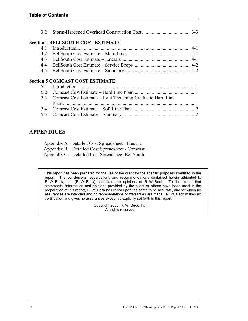|--|--|--|

#### **Section 4 BELLSOUTH COST ESTIMATE**

#### **Section 5 COMCAST COST ESTIMATE**

| 5.3 Comcast Cost Estimate – Joint Trenching Credits to Hard Line |  |
|------------------------------------------------------------------|--|
|                                                                  |  |
|                                                                  |  |
|                                                                  |  |
|                                                                  |  |

#### **APPENDICES**

| Appendix A – Detailed Cost Spreadsheet - Electric |
|---------------------------------------------------|
| Appendix B – Detailed Cost Spreadsheet - Comcast  |
| Appendix C – Detailed Cost Spreadsheet BellSouth  |

This report has been prepared for the use of the client for the specific purposes identified in the report. The conclusions, observations and recommendations contained herein attributed to R. W. Beck, Inc. (R. W. Beck) constitute the opinions of R. W. Beck. To the extent that statements, information and opinions provided by the client or others have been used in the preparation of this report, R. W. Beck has relied upon the same to be accurate, and for which no assurances are intended and no representations or warranties are made. R. W. Beck makes no certification and gives no assurances except as explicitly set forth in this report.

> Copyright 2006, R. W. Beck, Inc. All rights reserved.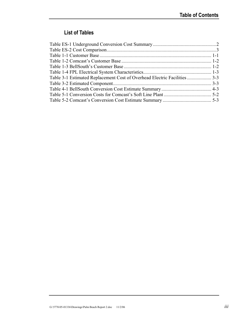#### **List of Tables**

| Table 3-1 Estimated Replacement Cost of Overhead Electric Facilities3-3 |  |
|-------------------------------------------------------------------------|--|
|                                                                         |  |
|                                                                         |  |
|                                                                         |  |
|                                                                         |  |
|                                                                         |  |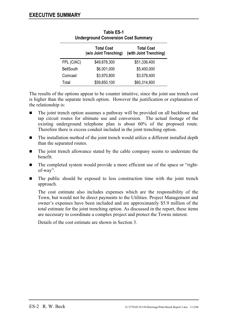| <b>Underground Conversion Cost Summary</b> |                                            |                                             |  |
|--------------------------------------------|--------------------------------------------|---------------------------------------------|--|
|                                            | <b>Total Cost</b><br>(w/o Joint Trenching) | <b>Total Cost</b><br>(with Joint Trenching) |  |
| FPL (CIAC)                                 | \$49,878,300                               | \$51,336,400                                |  |
| <b>BellSouth</b>                           | \$6,001,000                                | \$5,400,000                                 |  |
| Comcast                                    | \$3,970,800                                | \$3,578,400                                 |  |
| Total                                      | \$59,850,100                               | \$60,314,800                                |  |

| <b>Table ES-1</b>                          |
|--------------------------------------------|
| <b>Underground Conversion Cost Summary</b> |

The results of the options appear to be counter intuitive, since the joint use trench cost is higher than the separate trench option. However the justification or explanation of the relationship is:

- The joint trench option assumes a pathway will be provided on all backbone and tap circuit routes for ultimate use and conversion. The actual footage of the existing underground telephone plan is about 60% of the proposed route. Therefore there is excess conduit included in the joint trenching option.
- The installation method of the joint trench would utilize a different installed depth than the separated routes.
- The joint trench allowance stated by the cable company seems to understate the benefit.
- The completed system would provide a more efficient use of the space or "rightof-way".
- The public should be exposed to less construction time with the joint trench approach.

The cost estimate also includes expenses which are the responsibility of the Town, but would not be direct payments to the Utilities. Project Management and owner's expenses have been included and are approximately \$5.9 million of the total estimate for the joint trenching option. As discussed in the report, these items are necessary to coordinate a complex project and protect the Towns interest.

Details of the cost estimate are shown in Section 3.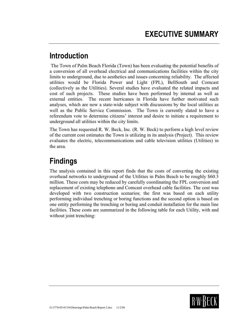### **Introduction**

 The Town of Palm Beach Florida (Town) has been evaluating the potential benefits of a conversion of all overhead electrical and communications facilities within the city limits to underground, due to aesthetics and issues concerning reliability. The affected utilities would be Florida Power and Light (FPL), BellSouth and Comcast (collectively as the Utilities). Several studies have evaluated the related impacts and cost of such projects. These studies have been performed by internal as well as external entities. The recent hurricanes in Florida have further motivated such analyses, which are now a state-wide subject with discussions by the local utilities as well as the Public Service Commission. The Town is currently slated to have a referendum vote to determine citizens' interest and desire to initiate a requirement to underground all utilities within the city limits.

The Town has requested R. W. Beck, Inc. (R. W. Beck) to perform a high level review of the current cost estimates the Town is utilizing in its analysis (Project). This review evaluates the electric, telecommunications and cable television utilities (Utilities) in the area.

## **Findings**

The analysis contained in this report finds that the costs of converting the existing overhead networks to underground of the Utilities in Palm Beach to be roughly \$60.3 million. These costs may be reduced by carefully coordinating the FPL conversion and replacement of existing telephone and Comcast overhead cable facilities. The cost was developed with two construction scenarios; the first was based on each utility performing individual trenching or boring functions and the second option is based on one entity performing the trenching or boring and conduit installation for the main line facilities. These costs are summarized in the following table for each Utility, with and without joint trenching:

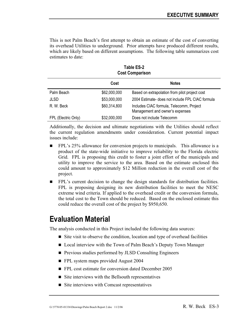This is not Palm Beach's first attempt to obtain an estimate of the cost of converting its overhead Utilities to underground. Prior attempts have produced different results, which are likely based on different assumptions. The following table summarizes cost estimates to date:

|                     | Cost         | <b>Notes</b>                                                                |
|---------------------|--------------|-----------------------------------------------------------------------------|
| Palm Beach          | \$62,000,000 | Based on extrapolation from pilot project cost                              |
| JLSD                | \$53,000,000 | 2004 Estimate- does not include FPL CIAC formula                            |
| R. W. Beck          | \$60,314,800 | Includes CIAC formula, Telecomm, Project<br>Management and owner's expenses |
| FPL (Electric Only) | \$32,000,000 | Does not include Telecomm                                                   |

**Table ES-2 Cost Comparison** 

Additionally, the decision and ultimate negotiations with the Utilities should reflect the current regulation amendments under consideration. Current potential impact issues include:

- **FPL's 25% allowance for conversion projects to municipals.** This allowance is a product of the state-wide initiative to improve reliability to the Florida electric Grid. FPL is proposing this credit to foster a joint effort of the municipals and utility to improve the service to the area. Based on the estimate enclosed this could amount to approximately \$12 Million reduction in the overall cost of the project.
- FPL's current decision to change the design standards for distribution facilities. FPL is proposing designing its new distribution facilities to meet the NESC extreme wind criteria. If applied to the overhead credit or the conversion formula, the total cost to the Town should be reduced. Based on the enclosed estimate this could reduce the overall cost of the project by \$950,650.

### **Evaluation Material**

The analysis conducted in this Project included the following data sources:

- Site visit to observe the condition, location and type of overhead facilities
- Local interview with the Town of Palm Beach's Deputy Town Manager
- **Previous studies performed by JLSD Consulting Engineers**
- **FPL** system maps provided August 2004
- FPL cost estimate for conversion dated December 2005
- $\blacksquare$  Site interviews with the Bellsouth representatives
- $\blacksquare$  Site interviews with Comcast representatives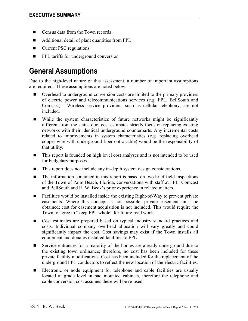- Census data from the Town records
- Additional detail of plant quantities from FPL
- Current PSC regulations
- **FPL** tariffs for underground conversion

## **General Assumptions**

Due to the high-level nature of this assessment, a number of important assumptions are required. These assumptions are noted below.

- Overhead to underground conversion costs are limited to the primary providers of electric power and telecommunications services (e.g. FPL, BellSouth and Comcast). Wireless service providers, such as cellular telephony, are not included.
- While the system characteristics of future networks might be significantly different from the status quo, cost estimates strictly focus on replacing existing networks with their identical underground counterparts. Any incremental costs related to improvements in system characteristics (e.g. replacing overhead copper wire with underground fiber optic cable) would be the responsibility of that utility.
- This report is founded on high level cost analyses and is not intended to be used for budgetary purposes.
- This report does not include any in-depth system design considerations.
- The information contained in this report is based on two brief field inspections of the Town of Palm Beach, Florida, conversations with staff at FPL, Comcast and BellSouth and R. W. Beck's prior experience in related matters.
- Facilities would be installed inside the existing Right-of-Way to prevent private easements. Where this concept is not possible, private easement must be obtained; cost for easement acquisition is not included. This would require the Town to agree to "keep FPL whole" for future road work.
- Cost estimates are prepared based on typical industry standard practices and costs. Individual company overhead allocation will vary greatly and could significantly impact the cost. Cost savings may exist if the Town installs all equipment and donates installed facilities to FPL.
- Service entrances for a majority of the homes are already underground due to the existing town ordinance; therefore, no cost has been included for these private facility modifications. Cost has been included for the replacement of the underground FPL conductors to reflect the new location of the electric facilities.
- Electronic or node equipment for telephone and cable facilities are usually located at grade level in pad mounted cabinets, therefore the telephone and cable conversion cost assumes these will be re-used.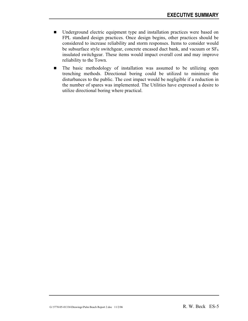- Underground electric equipment type and installation practices were based on FPL standard design practices. Once design begins, other practices should be considered to increase reliability and storm responses. Items to consider would be subsurface style switchgear, concrete encased duct bank, and vacuum or  $SF<sub>6</sub>$ insulated switchgear. These items would impact overall cost and may improve reliability to the Town.
- $\blacksquare$  The basic methodology of installation was assumed to be utilizing open trenching methods. Directional boring could be utilized to minimize the disturbances to the public. The cost impact would be negligible if a reduction in the number of spares was implemented. The Utilities have expressed a desire to utilize directional boring where practical.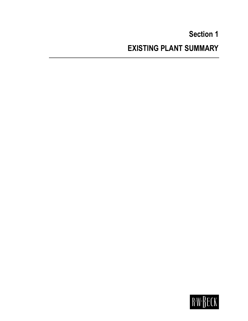# **Section 1 EXISTING PLANT SUMMARY**

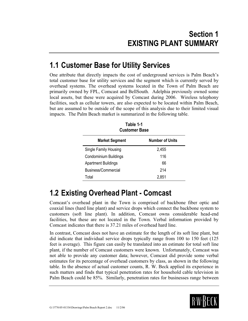## **1.1 Customer Base for Utility Services**

One attribute that directly impacts the cost of underground services is Palm Beach's total customer base for utility services and the segment which is currently served by overhead systems. The overhead systems located in the Town of Palm Beach are primarily owned by FPL, Comcast and BellSouth. Adelphia previously owned some local assets, but these were acquired by Comcast during 2006. Wireless telephony facilities, such as cellular towers, are also expected to be located within Palm Beach, but are assumed to be outside of the scope of this analysis due to their limited visual impacts. The Palm Beach market is summarized in the following table.

| <b>Customer Base</b>       |                        |  |
|----------------------------|------------------------|--|
| <b>Market Segment</b>      | <b>Number of Units</b> |  |
| Single Family Housing      | 2,455                  |  |
| Condominium Buildings      | 116                    |  |
| <b>Apartment Buildings</b> | 66                     |  |
| Business/Commercial        | 214                    |  |
| Total                      | 2,851                  |  |

**Table 1-1** 

### **1.2 Existing Overhead Plant - Comcast**

Comcast's overhead plant in the Town is comprised of backbone fiber optic and coaxial lines (hard line plant) and service drops which connect the backbone system to customers (soft line plant). In addition, Comcast owns considerable head-end facilities, but these are not located in the Town. Verbal information provided by Comcast indicates that there is 37.21 miles of overhead hard line.

In contrast, Comcast does not have an estimate for the length of its soft line plant, but did indicate that individual service drops typically range from 100 to 150 feet (125 feet is average). This figure can easily be translated into an estimate for total soft line plant, if the number of Comcast customers were known. Unfortunately, Comcast was not able to provide any customer data; however, Comcast did provide some verbal estimates for its percentage of overhead customers by class, as shown in the following table. In the absence of actual customer counts, R. W. Beck applied its experience in such matters and finds that typical penetration rates for household cable television in Palm Beach could be 85%. Similarly, penetration rates for businesses range between

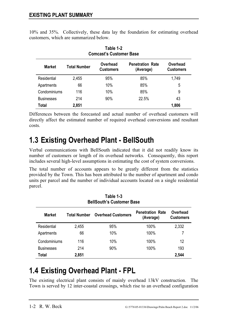| <b>Comcast's Customer Base</b> |                     |                              |                                      |                              |  |  |  |  |
|--------------------------------|---------------------|------------------------------|--------------------------------------|------------------------------|--|--|--|--|
| <b>Market</b>                  | <b>Total Number</b> | Overhead<br><b>Customers</b> | <b>Penetration Rate</b><br>(Average) | Overhead<br><b>Customers</b> |  |  |  |  |
| Residential                    | 2,455               | 95%                          | 85%                                  | 1,749                        |  |  |  |  |
| Apartments                     | 66                  | 10%                          | 85%                                  | 5                            |  |  |  |  |
| Condominiums                   | 116                 | 10%                          | 85%                                  | 9                            |  |  |  |  |
| <b>Businesses</b>              | 214                 | 90%                          | 22.5%                                | 43                           |  |  |  |  |
| Total                          | 2,851               |                              |                                      | 1,806                        |  |  |  |  |

10% and 35%. Collectively, these data lay the foundation for estimating overhead customers, which are summarized below.

**Table 1-2** 

Differences between the forecasted and actual number of overhead customers will directly affect the estimated number of required overhead conversions and resultant costs.

## **1.3 Existing Overhead Plant - BellSouth**

Verbal communications with BellSouth indicated that it did not readily know its number of customers or length of its overhead networks. Consequently, this report includes several high-level assumptions in estimating the cost of system conversions.

The total number of accounts appears to be greatly different from the statistics provided by the Town. This has been attributed to the number of apartment and condo units per parcel and the number of individual accounts located on a single residential parcel.

| Table 1-3<br><b>BellSouth's Customer Base</b> |                     |                           |                                      |                              |  |  |  |  |  |
|-----------------------------------------------|---------------------|---------------------------|--------------------------------------|------------------------------|--|--|--|--|--|
| <b>Market</b>                                 | <b>Total Number</b> | <b>Overhead Customers</b> | <b>Penetration Rate</b><br>(Average) | Overhead<br><b>Customers</b> |  |  |  |  |  |
| Residential                                   | 2,455               | 95%                       | 100%                                 | 2,332                        |  |  |  |  |  |
| Apartments                                    | 66                  | 10%                       | 100%                                 | 7                            |  |  |  |  |  |
| Condominiums                                  | 116                 | 10%                       | 100%                                 | 12                           |  |  |  |  |  |
| <b>Businesses</b>                             | 214                 | 90%                       | 100%                                 | 193                          |  |  |  |  |  |
| Total                                         | 2,851               |                           |                                      | 2,544                        |  |  |  |  |  |

# **1.4 Existing Overhead Plant - FPL**

The existing electrical plant consists of mainly overhead 13kV construction. The Town is served by 12 inter-coastal crossings, which rise to an overhead configuration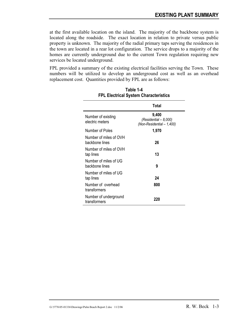at the first available location on the island. The majority of the backbone system is located along the roadside. The exact location in relation to private versus public property is unknown. The majority of the radial primary taps serving the residences in the town are located in a rear lot configuration. The service drops to a majority of the homes are currently underground due to the current Town regulation requiring new services be located underground.

FPL provided a summary of the existing electrical facilities serving the Town. These numbers will be utilized to develop an underground cost as well as an overhead replacement cost. Quantities provided by FPL are as follows:

|                                          | Total                                                       |
|------------------------------------------|-------------------------------------------------------------|
| Number of existing<br>electric meters    | 9,400<br>(Residential - 8,000)<br>(Non-Residential - 1,400) |
| Number of Poles                          | 1,970                                                       |
| Number of miles of OVH<br>backbone lines | 26                                                          |
| Number of miles of OVH<br>tap lines      | 13                                                          |
| Number of miles of UG<br>backbone lines  | 9                                                           |
| Number of miles of UG<br>tap lines       | 24                                                          |
| Number of overhead<br>transformers       | 800                                                         |
| Number of underground<br>transformers    | 220                                                         |

#### **Table 1-4 FPL Electrical System Characteristics**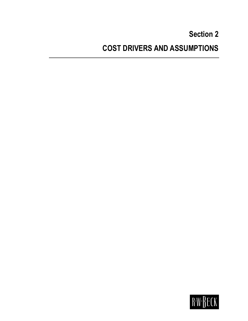# **Section 2 COST DRIVERS AND ASSUMPTIONS**

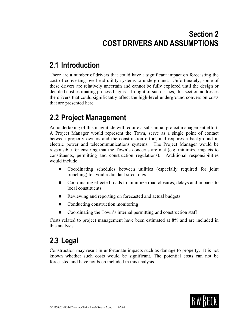## **2.1 Introduction**

There are a number of drivers that could have a significant impact on forecasting the cost of converting overhead utility systems to underground. Unfortunately, some of these drivers are relatively uncertain and cannot be fully explored until the design or detailed cost estimating process begins. In light of such issues, this section addresses the drivers that could significantly affect the high-level underground conversion costs that are presented here.

## **2.2 Project Management**

An undertaking of this magnitude will require a substantial project management effort. A Project Manager would represent the Town, serve as a single point of contact between property owners and the construction effort, and requires a background in electric power and telecommunications systems. The Project Manager would be responsible for ensuring that the Town's concerns are met (e.g. minimize impacts to constituents, permitting and construction regulations). Additional responsibilities would include:

- Coordinating schedules between utilities (especially required for joint trenching) to avoid redundant street digs
- Coordinating effected roads to minimize road closures, delays and impacts to local constituents
- Reviewing and reporting on forecasted and actual budgets
- Conducting construction monitoring
- Coordinating the Town's internal permitting and construction staff

Costs related to project management have been estimated at 8% and are included in this analysis.

# **2.3 Legal**

Construction may result in unfortunate impacts such as damage to property. It is not known whether such costs would be significant. The potential costs can not be forecasted and have not been included in this analysis.

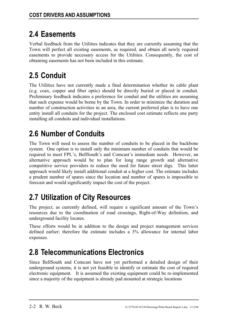# **2.4 Easements**

Verbal feedback from the Utilities indicates that they are currently assuming that the Town will perfect all existing easements, as required, and obtain all newly required easements to provide necessary access for the Utilities. Consequently, the cost of obtaining easements has not been included in this estimate.

# **2.5 Conduit**

The Utilities have not currently made a final determination whether its cable plant (e.g. coax, copper and fiber optic) should be directly buried or placed in conduit. Preliminary feedback indicates a preference for conduit and the utilities are assuming that such expense would be borne by the Town. In order to minimize the duration and number of construction activities in an area, the current preferred plan is to have one entity install all conduits for the project. The enclosed cost estimate reflects one party installing all conduits and individual installations.

# **2.6 Number of Conduits**

The Town will need to assess the number of conduits to be placed in the backbone system. One option is to install only the minimum number of conduits that would be required to meet FPL's, BellSouth's and Comcast's immediate needs. However, an alternative approach would be to plan for long range growth and alternative competitive service providers to reduce the need for future street digs. This latter approach would likely install additional conduit at a higher cost. The estimate includes a prudent number of spares since the location and number of spares is impossible to forecast and would significantly impact the cost of the project.

# **2.7 Utilization of City Resources**

The project, as currently defined, will require a significant amount of the Town's resources due to the coordination of road crossings, Right-of-Way definition, and underground facility locates.

These efforts would be in addition to the design and project management services defined earlier; therefore the estimate includes a 3% allowance for internal labor expenses.

# **2.8 Telecommunications Electronics**

Since BellSouth and Comcast have not yet performed a detailed design of their underground systems, it is not yet feasible to identify or estimate the cost of required electronic equipment. It is assumed the existing equipment could be re-implemented since a majority of the equipment is already pad mounted at strategic locations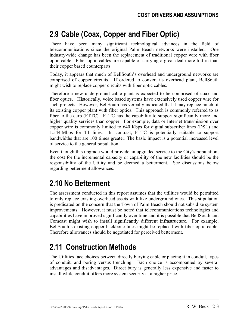# **2.9 Cable (Coax, Copper and Fiber Optic)**

There have been many significant technological advances in the field of telecommunications since the original Palm Beach networks were installed. One industry-wide change has been the replacement of traditional copper wire with fiber optic cable. Fiber optic cables are capable of carrying a great deal more traffic than their copper based counterparts.

Today, it appears that much of BellSouth's overhead and underground networks are comprised of copper circuits. If ordered to convert its overhead plant, BellSouth might wish to replace copper circuits with fiber optic cables.

Therefore a new underground cable plant is expected to be comprised of coax and fiber optics. Historically, voice based systems have extensively used copper wire for such projects. However, BellSouth has verbally indicated that it may replace much of its existing copper plant with fiber optics. This approach is commonly referred to as fiber to the curb (FTTC). FTTC has the capability to support significantly more and higher quality services than copper. For example, data or Internet transmission over copper wire is commonly limited to 640 Kbps for digital subscriber lines (DSL) and 1.544 Mbps for T1 lines. In contrast, FTTC is potentially suitable to support bandwidths that are 100 times greater. The basic impact is a potential increased level of service to the general population.

Even though this upgrade would provide an upgraded service to the City's population, the cost for the incremental capacity or capability of the new facilities should be the responsibility of the Utility and be deemed a betterment. See discussions below regarding betterment allowances.

## **2.10 No Betterment**

The assessment conducted in this report assumes that the utilities would be permitted to only replace existing overhead assets with like underground ones. This stipulation is predicated on the concern that the Town of Palm Beach should not subsidize system improvements. However, it must be noted that telecommunications technologies and capabilities have improved significantly over time and it is possible that BellSouth and Comcast might wish to install significantly different infrastructure. For example, BellSouth's existing copper backbone lines might be replaced with fiber optic cable. Therefore allowances should be negotiated for perceived betterment.

# **2.11 Construction Methods**

The Utilities face choices between directly burying cable or placing it in conduit, types of conduit, and boring versus trenching. Each choice is accompanied by several advantages and disadvantages. Direct bury is generally less expensive and faster to install while conduit offers more system security at a higher price.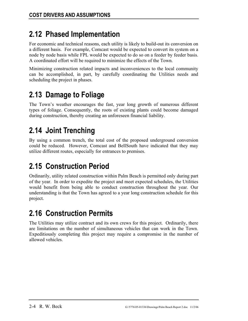# **2.12 Phased Implementation**

For economic and technical reasons, each utility is likely to build-out its conversion on a different basis. For example, Comcast would be expected to convert its system on a node by node basis while FPL would be expected to do so on a feeder by feeder basis. A coordinated effort will be required to minimize the effects of the Town.

Minimizing construction related impacts and inconveniences to the local community can be accomplished, in part, by carefully coordinating the Utilities needs and scheduling the project in phases.

# **2.13 Damage to Foliage**

The Town's weather encourages the fast, year long growth of numerous different types of foliage. Consequently, the roots of existing plants could become damaged during construction, thereby creating an unforeseen financial liability.

# **2.14 Joint Trenching**

By using a common trench, the total cost of the proposed underground conversion could be reduced. However, Comcast and BellSouth have indicated that they may utilize different routes, especially for entrances to premises.

# **2.15 Construction Period**

Ordinarily, utility related construction within Palm Beach is permitted only during part of the year. In order to expedite the project and meet expected schedules, the Utilities would benefit from being able to conduct construction throughout the year. Our understanding is that the Town has agreed to a year long construction schedule for this project.

# **2.16 Construction Permits**

The Utilities may utilize contract and its own crews for this project. Ordinarily, there are limitations on the number of simultaneous vehicles that can work in the Town. Expeditiously completing this project may require a compromise in the number of allowed vehicles.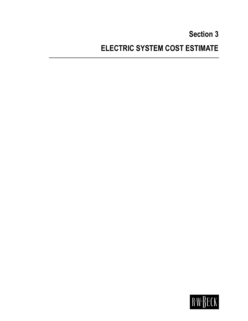# **Section 3 ELECTRIC SYSTEM COST ESTIMATE**

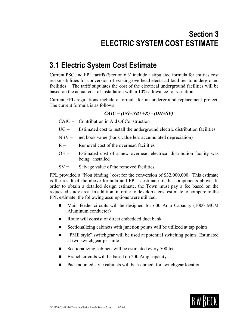### **3.1 Electric System Cost Estimate**

Current PSC and FPL tariffs (Section 6.3) include a stipulated formula for entities cost responsibilities for conversion of existing overhead electrical facilities to underground facilities. The tariff stipulates the cost of the electrical underground facilities will be based on the actual cost of installation with a 10% allowance for variation.

Current FPL regulations include a formula for an underground replacement project. The current formula is as follows:

#### *CAIC = (UG+NBV+R) - (OH+SV)*

- $CAIC =$  Contribution in Aid Of Construction
- $UG =$  Estimated cost to install the underground electric distribution facilities
- $NBV =$  net book value (book value less accumulated depreciation)
- $R =$  Removal cost of the overhead facilities
- $OH =$  Estimated cost of a new overhead electrical distribution facility was being installed
- $SV =$  Salvage value of the removed facilities

FPL provided a "Non binding" cost for the conversion of \$32,000,000. This estimate is the result of the above formula and FPL's estimate of the components above. In order to obtain a detailed design estimate, the Town must pay a fee based on the requested study area. In addition, in order to develop a cost estimate to compare to the FPL estimate, the following assumptions were utilized:

- Main feeder circuits will be designed for 600 Amp Capacity (1000 MCM Aluminum conductor)
- Route will consist of direct embedded duct bank
- Sectionalizing cabinets with junction points will be utilized at tap points
- "PME style" switchgear will be used at potential switching points. Estimated at two switchgear per mile
- Sectionalizing cabinets will be estimated every 500 feet
- $\blacksquare$  Branch circuits will be based on 200 Amp capacity
- Pad-mounted style cabinets will be assumed for switchgear location

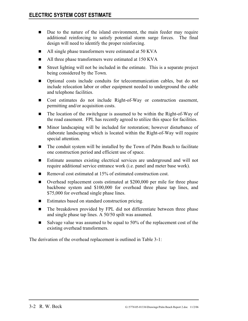- Due to the nature of the island environment, the main feeder may require additional reinforcing to satisfy potential storm surge forces. The final design will need to identify the proper reinforcing.
- All single phase transformers were estimated at 50 KVA
- All three phase transformers were estimated at 150 KVA
- Street lighting will not be included in the estimate. This is a separate project being considered by the Town.
- Optional costs include conduits for telecommunication cables, but do not include relocation labor or other equipment needed to underground the cable and telephone facilities.
- Cost estimates do not include Right-of-Way or construction easement, permitting and/or acquisition costs.
- The location of the switchgear is assumed to be within the Right-of-Way of the road easement. FPL has recently agreed to utilize this space for facilities.
- Minor landscaping will be included for restoration; however disturbance of elaborate landscaping which is located within the Right-of-Way will require special attention.
- The conduit system will be installed by the Town of Palm Beach to facilitate one construction period and efficient use of space.
- Estimate assumes existing electrical services are underground and will not require additional service entrance work (i.e. panel and meter base work).
- Removal cost estimated at 15% of estimated construction cost.
- Overhead replacement costs estimated at \$200,000 per mile for three phase backbone system and \$100,000 for overhead three phase tap lines, and \$75,000 for overhead single phase lines.
- Estimates based on standard construction pricing.
- The breakdown provided by FPL did not differentiate between three phase and single phase tap lines. A 50/50 spilt was assumed.
- Salvage value was assumed to be equal to 50% of the replacement cost of the existing overhead transformers.

The derivation of the overhead replacement is outlined in Table 3-1: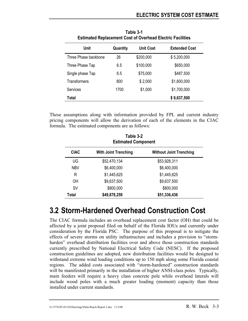| Unit                 | Quantity | <b>Unit Cost</b> | <b>Extended Cost</b> |
|----------------------|----------|------------------|----------------------|
| Three Phase backbone | 26       | \$200,000        | \$5,200,000          |
| Three Phase Tap      | 6.5      | \$100,000        | \$650,000            |
| Single phase Tap     | 6.5      | \$75,000         | \$487,500            |
| Transformers         | 800      | \$2,000          | \$1,600,000          |
| <b>Services</b>      | 1700     | \$1,000          | \$1,700,000          |
| Total                |          |                  | \$9,637,500          |

**Table 3-1 Estimated Replacement Cost of Overhead Electric Facilities** 

These assumptions along with information provided by FPL and current industry pricing components will allow the derivation of each of the elements in the CIAC formula. The estimated components are as follows:

**Table 3-2** 

|             | LAUIT J-4<br><b>Estimated Component</b> |                                |  |  |  |  |  |  |  |
|-------------|-----------------------------------------|--------------------------------|--|--|--|--|--|--|--|
| <b>CIAC</b> | <b>With Joint Trenching</b>             | <b>Without Joint Trenching</b> |  |  |  |  |  |  |  |
| UG          | \$52,470,134                            | \$53,928,311                   |  |  |  |  |  |  |  |
| <b>NBV</b>  | \$6,400,000                             | \$6,400,000                    |  |  |  |  |  |  |  |
| R           | \$1,445,625                             | \$1,445,625                    |  |  |  |  |  |  |  |
| OH          | \$9,637,500                             | \$9,637,500                    |  |  |  |  |  |  |  |
| <b>SV</b>   | \$800,000                               | \$800,000                      |  |  |  |  |  |  |  |
| Total       | \$49,878,259                            | \$51,336,436                   |  |  |  |  |  |  |  |

### **3.2 Storm-Hardened Overhead Construction Cost**

The CIAC formula includes an overhead replacement cost factor (OH) that could be affected by a joint proposal filed on behalf of the Florida IOUs and currently under consideration by the Florida PSC. The purpose of this proposal is to mitigate the effects of severe storms on utility infrastructure and includes a provision to "stormharden" overhead distribution facilities over and above those construction standards currently prescribed by National Electrical Safety Code (NESC). If the proposed construction guidelines are adopted, new distribution facilities would be designed to withstand extreme wind loading conditions up to 150 mph along some Florida coastal regions. The added costs associated with "storm-hardened" construction standards will be manifested primarily in the installation of higher ANSI-class poles. Typically, main feeders will require a heavy class concrete pole while overhead laterals will include wood poles with a much greater loading (moment) capacity than those installed under current standards.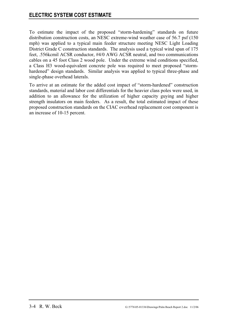To estimate the impact of the proposed "storm-hardening" standards on future distribution construction costs, an NESC extreme-wind weather case of 56.7 psf (150 mph) was applied to a typical main feeder structure meeting NESC Light Loading District Grade C construction standards. The analysis used a typical wind span of 175 feet, .556kcmil ACSR conductor, #4/0 AWG ACSR neutral, and two communications cables on a 45 foot Class 2 wood pole. Under the extreme wind conditions specified, a Class H3 wood-equivalent concrete pole was required to meet proposed "stormhardened" design standards. Similar analysis was applied to typical three-phase and single-phase overhead laterals.

To arrive at an estimate for the added cost impact of "storm-hardened" construction standards, material and labor cost differentials for the heavier class poles were used, in addition to an allowance for the utilization of higher capacity guying and higher strength insulators on main feeders. As a result, the total estimated impact of these proposed construction standards on the CIAC overhead replacement cost component is an increase of 10-15 percent.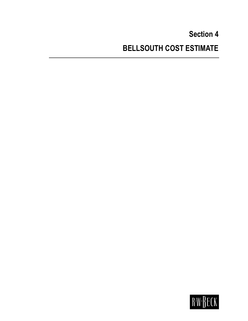# **Section 4 BELLSOUTH COST ESTIMATE**

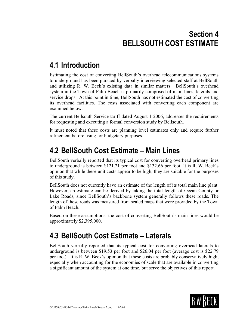## **4.1 Introduction**

Estimating the cost of converting BellSouth's overhead telecommunications systems to underground has been pursued by verbally interviewing selected staff at BellSouth and utilizing R. W. Beck's existing data in similar matters. BellSouth's overhead system in the Town of Palm Beach is primarily comprised of main lines, laterals and service drops. At this point in time, BellSouth has not estimated the cost of converting its overhead facilities. The costs associated with converting each component are examined below.

The current Bellsouth Service tariff dated August 1 2006, addresses the requirements for requesting and executing a formal conversion study by Bellsouth.

It must noted that these costs are planning level estimates only and require further refinement before using for budgetary purposes.

### **4.2 BellSouth Cost Estimate – Main Lines**

BellSouth verbally reported that its typical cost for converting overhead primary lines to underground is between \$121.21 per foot and \$132.66 per foot. It is R. W. Beck's opinion that while these unit costs appear to be high, they are suitable for the purposes of this study.

BellSouth does not currently have an estimate of the length of its total main line plant. However, an estimate can be derived by taking the total length of Ocean County or Lake Roads, since BellSouth's backbone system generally follows these roads. The length of these roads was measured from scaled maps that were provided by the Town of Palm Beach.

Based on these assumptions, the cost of converting BellSouth's main lines would be approximately \$2,395,000.

## **4.3 BellSouth Cost Estimate – Laterals**

BellSouth verbally reported that its typical cost for converting overhead laterals to underground is between \$19.53 per foot and \$26.04 per foot (average cost is \$22.79 per foot). It is R. W. Beck's opinion that these costs are probably conservatively high, especially when accounting for the economies of scale that are available in converting a significant amount of the system at one time, but serve the objectives of this report.

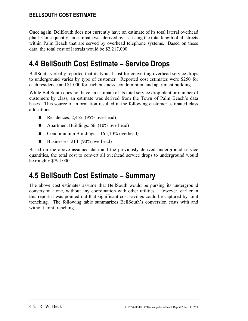Once again, BellSouth does not currently have an estimate of its total lateral overhead plant. Consequently, an estimate was derived by assessing the total length of all streets within Palm Beach that are served by overhead telephone systems. Based on these data, the total cost of laterals would be \$2,217,000.

### **4.4 BellSouth Cost Estimate – Service Drops**

BellSouth verbally reported that its typical cost for converting overhead service drops to underground varies by type of customer. Reported cost estimates were \$250 for each residence and \$1,000 for each business, condominium and apartment building.

While BellSouth does not have an estimate of its total service drop plant or number of customers by class, an estimate was derived from the Town of Palm Beach's data bases. This source of information resulted in the following customer estimated class allocations:

- Residences: 2,455 (95% overhead)
- Apartment Buildings: 66 (10% overhead)
- Condominium Buildings: 116 (10% overhead)
- Businesses: 214  $(90\%$  overhead)

Based on the above assumed data and the previously derived underground service quantities, the total cost to convert all overhead service drops to underground would be roughly \$794,000.

### **4.5 BellSouth Cost Estimate – Summary**

The above cost estimates assume that BellSouth would be pursing its underground conversion alone, without any coordination with other utilities. However, earlier in this report it was pointed out that significant cost savings could be captured by joint trenching. The following table summarizes BellSouth's conversion costs with and without joint trenching.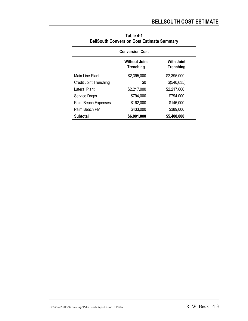| <b>Conversion Cost</b>        |                                          |                                       |  |  |  |  |  |  |
|-------------------------------|------------------------------------------|---------------------------------------|--|--|--|--|--|--|
|                               | <b>Without Joint</b><br><b>Trenching</b> | <b>With Joint</b><br><b>Trenching</b> |  |  |  |  |  |  |
| Main Line Plant               | \$2,395,000                              | \$2,395,000                           |  |  |  |  |  |  |
| <b>Credit Joint Trenching</b> | \$0                                      | \$(540,635)                           |  |  |  |  |  |  |
| Lateral Plant                 | \$2,217,000                              | \$2,217,000                           |  |  |  |  |  |  |
| <b>Service Drops</b>          | \$794,000                                | \$794,000                             |  |  |  |  |  |  |
| Palm Beach Expenses           | \$162,000                                | \$146,000                             |  |  |  |  |  |  |
| Palm Beach PM                 | \$433,000                                | \$389,000                             |  |  |  |  |  |  |
| <b>Subtotal</b>               | \$6,001,000                              | \$5,400,000                           |  |  |  |  |  |  |

| Table 4-1                                         |
|---------------------------------------------------|
| <b>BellSouth Conversion Cost Estimate Summary</b> |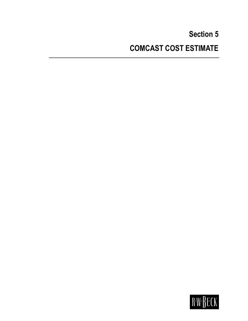# **Section 5 COMCAST COST ESTIMATE**

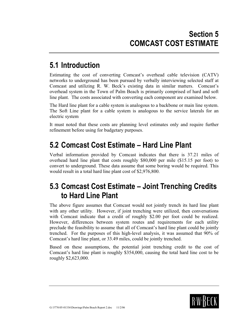## **5.1 Introduction**

Estimating the cost of converting Comcast's overhead cable television (CATV) networks to underground has been pursued by verbally interviewing selected staff at Comcast and utilizing R. W. Beck's existing data in similar matters. Comcast's overhead system in the Town of Palm Beach is primarily comprised of hard and soft line plant. The costs associated with converting each component are examined below.

The Hard line plant for a cable system is analogous to a backbone or main line system. The Soft Line plant for a cable system is analogous to the service laterals for an electric system

It must noted that these costs are planning level estimates only and require further refinement before using for budgetary purposes.

### **5.2 Comcast Cost Estimate – Hard Line Plant**

Verbal information provided by Comcast indicates that there is 37.21 miles of overhead hard line plant that costs roughly \$80,000 per mile (\$15.15 per foot) to convert to underground. These data assume that some boring would be required. This would result in a total hard line plant cost of \$2,976,800.

### **5.3 Comcast Cost Estimate – Joint Trenching Credits to Hard Line Plant**

The above figure assumes that Comcast would not jointly trench its hard line plant with any other utility. However, if joint trenching were utilized, then conversations with Comcast indicate that a credit of roughly \$2.00 per foot could be realized. However, differences between system routes and requirements for each utility preclude the feasibility to assume that all of Comcast's hard line plant could be jointly trenched. For the purposes of this high-level analysis, it was assumed that 90% of Comcast's hard line plant, or 33.49 miles, could be jointly trenched.

Based on these assumptions, the potential joint trenching credit to the cost of Comcast's hard line plant is roughly \$354,000, causing the total hard line cost to be roughly \$2,623,000.

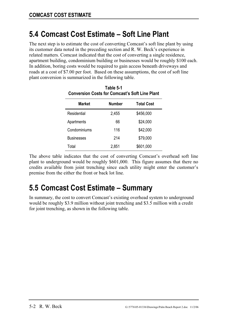### **5.4 Comcast Cost Estimate – Soft Line Plant**

The next step is to estimate the cost of converting Comcast's soft line plant by using its customer data noted in the preceding section and R. W. Beck's experience in related matters. Comcast indicated that the cost of converting a single residence, apartment building, condominium building or businesses would be roughly \$100 each. In addition, boring costs would be required to gain access beneath driveways and roads at a cost of \$7.00 per foot. Based on these assumptions, the cost of soft line plant conversion is summarized in the following table.

**Table 5-1** 

| <b>Conversion Costs for Comcast's Soft Line Plant</b> |               |                   |  |  |  |  |  |  |
|-------------------------------------------------------|---------------|-------------------|--|--|--|--|--|--|
| Market                                                | <b>Number</b> | <b>Total Cost</b> |  |  |  |  |  |  |
| Residential                                           | 2,455         | \$456,000         |  |  |  |  |  |  |
| Apartments                                            | 66            | \$24,000          |  |  |  |  |  |  |
| Condominiums                                          | 116           | \$42,000          |  |  |  |  |  |  |
| <b>Businesses</b>                                     | 214           | \$79,000          |  |  |  |  |  |  |
| Total                                                 | 2,851         | \$601,000         |  |  |  |  |  |  |

The above table indicates that the cost of converting Comcast's overhead soft line plant to underground would be roughly \$601,000. This figure assumes that there no credits available from joint trenching since each utility might enter the customer's premise from the either the front or back lot line.

# **5.5 Comcast Cost Estimate – Summary**

In summary, the cost to convert Comcast's existing overhead system to underground would be roughly \$3.9 million without joint trenching and \$3.5 million with a credit for joint trenching, as shown in the following table.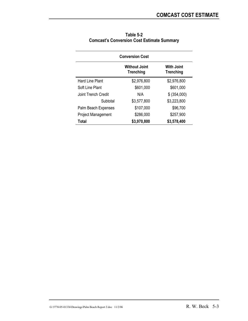| <b>Conversion Cost</b>                                                     |             |              |  |  |  |  |  |  |
|----------------------------------------------------------------------------|-------------|--------------|--|--|--|--|--|--|
| <b>With Joint</b><br><b>Without Joint</b><br><b>Trenching</b><br>Trenching |             |              |  |  |  |  |  |  |
| Hard Line Plant                                                            | \$2,976,800 | \$2,976,800  |  |  |  |  |  |  |
| Soft Line Plant                                                            | \$601,000   | \$601,000    |  |  |  |  |  |  |
| Joint Trench Credit                                                        | N/A         | \$ (354,000) |  |  |  |  |  |  |
| Subtotal                                                                   | \$3,577,800 | \$3,223,800  |  |  |  |  |  |  |
| Palm Beach Expenses                                                        | \$107,000   | \$96,700     |  |  |  |  |  |  |
| <b>Project Management</b>                                                  | \$286,000   | \$257,900    |  |  |  |  |  |  |
| Total                                                                      | \$3,970,800 | \$3,578,400  |  |  |  |  |  |  |

| Table 5-2                                         |
|---------------------------------------------------|
| <b>Comcast's Conversion Cost Estimate Summary</b> |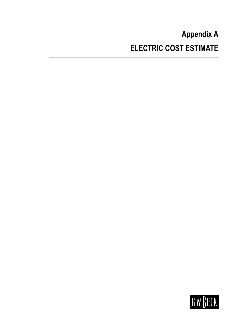# **Appendix A ELECTRIC COST ESTIMATE**

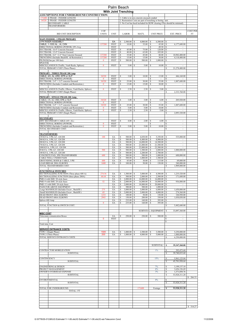| Palm Beach                                                                                             |                      |                            |                     |                             |                               |                                             |                                                            |                                                                         |                       |
|--------------------------------------------------------------------------------------------------------|----------------------|----------------------------|---------------------|-----------------------------|-------------------------------|---------------------------------------------|------------------------------------------------------------|-------------------------------------------------------------------------|-----------------------|
|                                                                                                        |                      |                            |                     | <b>With Joint Trenching</b> |                               |                                             |                                                            |                                                                         |                       |
| ASSUMPTIONS FOR UNDERGROUND CONSTRUCTION:<br>171600 3 PHASE - FEEDER LENGTH                            |                      |                            |                     |                             |                               | 1. Cable is in non concrete encased conduit |                                                            |                                                                         |                       |
| 34320<br>1 PHASE - FEEDER LENGTH                                                                       |                      |                            |                     |                             |                               |                                             | 2. Restoration Costs are part of trenching or boring unit. |                                                                         |                       |
| <b>SECONDARY CABLE</b><br><b>TRANSFORMERS</b>                                                          |                      |                            |                     |                             |                               |                                             |                                                            | 3. No Cost has beed included for ROW clearing (This should be minimal). |                       |
|                                                                                                        |                      |                            |                     |                             |                               |                                             |                                                            |                                                                         |                       |
| <b>BID UNIT DESCRIPTION</b>                                                                            | # OF<br><b>UNITS</b> | <b>UNIT</b>                |                     | <b>LABOR</b>                |                               | MAT'L                                       | <b>UNIT PRICE</b>                                          | <b>EXT. PRICE</b>                                                       | <b>COST PER</b><br>FT |
| <b>MAIN FEEDER - 3 PHASE PRIMARY</b>                                                                   |                      |                            |                     |                             |                               |                                             |                                                            |                                                                         |                       |
| 3 PH RISER ASSEMBLY                                                                                    |                      | EA                         | s                   | 2,500.00                    | \$                            | 4,000.00                                    | S<br>6,500.00                                              | s                                                                       |                       |
| CABLE, 1-1000 AL, AI, CXN<br>DIRECTIONAL BORING (POWER) 10% Avg.                                       | 137280               | <b>FEET</b><br><b>FEET</b> | s                   | 10.00                       | \$                            | 35.00                                       | s<br>45.00<br>s<br>49.50                                   | s<br>6,177,600.00<br>s<br>$\overline{\phantom{a}}$                      |                       |
| DUCTBANK-16-4" Concrete Encased                                                                        |                      | <b>FEET</b>                | s                   | 45.00                       | s                             | 75.00<br>65.00                              | s<br>120.00                                                | s<br>×.                                                                 |                       |
| DUCTBANK-12-4" Concrete Encased<br>DUCTBANK-4-6" +2-2" Non Concrete Encased                            | 137280               | FEET<br><b>FEET</b>        | s<br>s              | 40.00<br>35.00              | \$<br>\$                      | 45.00                                       | 105.00<br>s<br>80.00<br>s                                  | s<br>s<br>10,982,400.00                                                 |                       |
| TRENCHING (Includes Backfill, & Restoration)<br>PILINGS(One per 100 feet)                              | 137280<br>$\bf{0}$   | <b>FEET</b><br><b>FEET</b> | s<br>s              | 15.00<br>500.00             | \$<br>\$                      | 15.00<br>500.00                             | S<br>30.00<br>s<br>1,000.00                                | \$<br>4,118,400.00<br>s<br>$\sim$                                       |                       |
| <b>SPLICES</b>                                                                                         |                      |                            |                     |                             |                               |                                             |                                                            |                                                                         |                       |
| MISCELLANEOUS (Traffic, Vault Racks, Splices)<br>TOTAL PRIMARY COST (Three Phase):                     | $\bf{0}$             | <b>FEET</b>                | s                   | 5.00                        | s                             | 5.00                                        | 10.00<br>S                                                 | s<br>\$<br>21,278,400.00                                                |                       |
| PRIMARY - THREE PHASE 200 Amp                                                                          |                      |                            |                     |                             |                               |                                             |                                                            |                                                                         |                       |
| CABLE, 4/0, AL URD, EPR or XLP                                                                         | 34320                | <b>FEET</b>                | s                   | 3.00                        | \$                            | 10.00                                       | 13.00<br>S                                                 | 446,160.00<br>\$                                                        |                       |
| DIRECTIONAL BORING (POWER)<br>DUCTBANK-2-4" + 2-2" concrete Encased                                    | $\bf{0}$<br>34320    | <b>FEET</b><br><b>FEET</b> | s                   | 25.00                       | \$                            | 30.00                                       | \$<br>$\overline{\phantom{a}}$<br>s<br>55.00               | s<br>s<br>1,887,600.00                                                  |                       |
| TRENCHING (Includes Conduits and Restoration)                                                          | $\bf{0}$             | <b>FEET</b>                | s                   | 15.00                       | \$                            | 15.00                                       | S<br>30.00                                                 | s                                                                       |                       |
| MISCELLANEOUS (Traffic, Elbows, Vault Racks, Splices)                                                  | $\bf{0}$             | <b>FEET</b>                | S                   | 2.50                        | \$                            | 2.50                                        | 5.00<br>S                                                  | s                                                                       |                       |
| TOTAL PRIMARY COST (Single Phase):                                                                     |                      |                            |                     |                             |                               |                                             |                                                            | 2,333,760.00<br>\$                                                      |                       |
| PRIMARY - SINGLE PHASE-200 Amp-                                                                        |                      |                            |                     |                             |                               |                                             |                                                            |                                                                         |                       |
| CABLE, 1/0, AL URD, EPR or XLP<br>DIRECTIONAL BORING (POWER)                                           | 34320<br>$\bf{0}$    | <b>FEET</b><br><b>FEET</b> | s                   | 3.00                        | \$                            | 3.00                                        | 6.00<br>S<br>\$<br>$\overline{\phantom{a}}$                | 205,920.00<br>\$<br>s                                                   |                       |
| DUCTBANK-2-4" + 2-2" concrete Encased                                                                  | 34320                | <b>FEET</b>                | Ś                   | 25.00                       | \$                            | 30.00                                       | S<br>55.00                                                 | \$<br>1,887,600.00                                                      |                       |
| TRENCHING (Includes Conduits and Restoration)<br>MISCELLANEOUS (Traffic, Elbows, Vault Racks, Splices) | 0<br>$\bf{0}$        | <b>FEET</b><br><b>FEET</b> | s<br>s              | 5.00<br>2.50                | \$<br>\$                      | 5.00<br>2.50                                | 10.00<br>s<br>s<br>5.00                                    | s<br>٠<br>s                                                             |                       |
| TOTAL PRIMARY COST (Single Phase):                                                                     |                      |                            |                     |                             |                               |                                             |                                                            | s<br>2,093,520.00                                                       |                       |
| <b>SECONDARY</b>                                                                                       |                      |                            |                     |                             |                               |                                             |                                                            |                                                                         |                       |
| 600V SECONDARY CABLE (4/0 AL)<br>DIRECTIONAL BORING (POWER)                                            | $\bf{0}$             | <b>FEET</b><br><b>FEET</b> | s                   | 4.00                        | \$                            | 2.00                                        | 6.00<br>s<br>\$<br>$\overline{\phantom{a}}$                | s<br>$\overline{\phantom{a}}$<br>s<br>$\sim$                            |                       |
| TRENCHING (Includes Conduits and Restoration)                                                          | $\bf{0}$             | <b>FEET</b>                | s                   | 5.00                        | S                             | 5.00                                        | s<br>10.00                                                 | s<br>à.                                                                 |                       |
| TOTAL SECONDARY COST:                                                                                  |                      |                            |                     |                             |                               |                                             |                                                            | s<br>à.                                                                 |                       |
| <b>TRANSFORMERS</b>                                                                                    |                      |                            |                     |                             |                               |                                             |                                                            |                                                                         |                       |
| 150 KVA, 3 PH, LF, 120/208<br>300 KVA, 3 PH, LF, 120/208                                               | 100                  | EA<br>EA                   | s<br>s              | 500.00<br>500.00            | \$<br>s                       | 4,850.00<br>8,400.00                        | s<br>5,350.00<br>-S<br>8,900.00                            | 535,000.00<br>s<br>s<br>$\overline{\phantom{a}}$                        |                       |
| 500 KVA, 3 PH, LF, 120/208<br>750 KVA, 3 PH, LF, 120/208                                               |                      | EA<br>EA                   | s<br>s              | 500.00<br>500.00            | s<br>\$                       | $14,000.00$   \$<br>21,000.00               | 14,500.00<br>s<br>21,500.00                                | s<br>$\overline{\phantom{a}}$<br>s<br>÷,                                |                       |
| 1000 KVA, 3 PH, LF, 120/208                                                                            |                      | EA                         | s                   | 500.00                      | \$                            | 23,000.00                                   | 23,500.00<br>S                                             | s                                                                       |                       |
| 50 KVA, 1 PH, LF, 120/240<br>100 KVA, 1 PH, LF, 120/240                                                | 500                  | EA<br>EA                   | s<br>s              | 500.00<br>500.00            | \$<br>$\mathsf{s}$            | 1,500.00<br>2,200.00                        | s<br>2,000.00<br>s<br>2,700.00                             | \$<br>1,000,000.00<br>s                                                 |                       |
| CONCRETE PAD, 3PH TRANSFORMER                                                                          | 600                  | EA                         | s                   | 500.00                      | s                             | 500.00                                      | 1,000.00<br>s                                              | 600,000.00<br>s                                                         |                       |
| <b>CABLE WELL UNDER PADS</b><br>GROUNDING, RODS & CABLE, 3 PH                                          | 600                  | EA<br>EA                   | s<br>s              | 500.00<br>85.00             | s<br>\$                       | 1,000.00<br>30.00                           | s<br>1,500.00<br>s<br>115.00                               | s<br>\$<br>69,000.00                                                    |                       |
| <b>LOAD BREAK 200A ELBOWS</b><br>TOTAL TRANSFORMER COST:                                               | 1600                 | EA                         | $\overline{s}$      | 100.00                      | $\overline{\mathsf{s}}$       | 50.00                                       | $\overline{\mathbf{s}}$<br>150.00                          | $\mathbb S$<br>240,000.00<br>\$                                         |                       |
|                                                                                                        |                      |                            |                     |                             |                               |                                             |                                                            | 1,909,000.00                                                            |                       |
| <b>JUNCTIONS &amp; SWITCHES</b><br>SECTIONALIZING JUNCTION (Three phase 600 A)                         | 274.56               | EA                         | s                   | 1,500.00                    | \$                            | $3,000.00$ \ \$                             | 4,500.00                                                   | 1,235,520.00<br>s                                                       |                       |
| SECTIONALIZING JUNCTION (three phase 200A)                                                             | 68.64                | EA                         | $\mathbb S$         | 500.00                      | $\mathbb S$                   | 2,000.00                                    | $\overline{s}$<br>2,500.00                                 | \$<br>171,600.00                                                        |                       |
| PME-6 with SMU 20 style fuses<br>PME-9 with SMU 20 style fuses                                         | 52                   | EA<br>EA                   | $\overline{s}$<br>s | 2,000.00<br>2.000.00        | $\overline{\mathbb{S}}$<br>\$ | 14,000.00<br>16,000.00                      | s<br>16,000.00<br>18,000.00<br>s                           | s<br>936,000.00<br>\$                                                   |                       |
| PME-11 with SMU 20 style fuses<br>PADS FOR ABOVE EOUIPMENT                                             |                      | EA<br>EA                   | s                   | 2,000.00                    | \$                            | 18,000.00<br>$500.00$   \$                  | 20,000.00<br>s<br>$1,000.00$   \$                          | s<br>$\overline{\phantom{a}}$                                           |                       |
| Large MANHOLES (Includes Excav., Backfill)                                                             | 275                  | EA                         | s                   | 3,000.00 \$                 |                               | $3,000.00$ \$                               | $6,000.00$ \ \$                                            | 1,650,000.00                                                            |                       |
| Small MANHOLES (Includes Excav., Backfill)<br><b>DEAD FRONT 200A ELBOWS</b>                            | 69<br>1233           | EA<br>EA                   | s<br>s              | 2,000.00<br>100.00          | l \$<br>s                     | $2,000.00$ \ S<br>50.00                     | $4,000.00$ \$<br>s<br>150.00                               | 274,560.00<br>184,950.00<br>s                                           |                       |
| DEAD FRONT 600A ELBOWS                                                                                 | 2943                 | EA                         | s                   | 150.00                      | -S                            | 200.00                                      | s<br>$350.00$ \$                                           | 1,030,050.00                                                            |                       |
| Splices 600 Amp                                                                                        | $\bf{0}$             | EA<br>EA                   | s<br>s              | $235.00$ \ \$<br>235.00     | S                             | $160.00$   \$<br>160.00                     | $395.00$ S<br>395.00<br>s                                  | $\sim$<br>s                                                             |                       |
| TOTAL JUNCTION & SWITCH COST:                                                                          |                      |                            |                     |                             |                               |                                             |                                                            | 5,482,680.00<br>\$                                                      |                       |
|                                                                                                        |                      |                            |                     |                             |                               |                                             | <b>SUBTOTAL: EQUIPMENT</b>                                 | 33,097,360.00<br>S                                                      |                       |
| <b>MISC COST</b><br>Telecomm comunication Boxes                                                        |                      | EA                         | s                   | 250.00                      | S                             | 250.00                                      | 500.00<br>s                                                | s<br>$\sim$                                                             |                       |
|                                                                                                        | 0                    | <b>FEET</b>                |                     |                             |                               |                                             |                                                            | s<br>$\overline{\phantom{a}}$                                           |                       |
| <b>Total misc Cost</b>                                                                                 |                      |                            |                     |                             |                               |                                             |                                                            | S<br>ä,                                                                 |                       |
| <b>SERVICE ENTRANCE COSTS:</b>                                                                         |                      |                            |                     |                             |                               |                                             |                                                            |                                                                         |                       |
| TYPE 1 (Single Phase)                                                                                  | 1500                 | EA                         | s                   | 1,000.00                    | s                             | 2,500.00                                    | 3,500.00<br>s                                              | 5,250,000.00<br>\$                                                      |                       |
| TYPE 2 (Three Phase)<br>TOTAL SERVICE ENTRANCE COSTS                                                   | 200                  | EA                         | s                   | 1,000.00                    | \$                            | 4,000.00                                    | s<br>5,000.00                                              | \$<br>1,000,000.00<br>\$<br>6,250,000.00                                |                       |
|                                                                                                        |                      |                            |                     |                             |                               |                                             |                                                            |                                                                         |                       |
|                                                                                                        |                      |                            |                     |                             |                               |                                             | SUBTOTAL:                                                  | 39,347,360.00<br>s                                                      |                       |
|                                                                                                        |                      |                            |                     |                             |                               |                                             |                                                            |                                                                         |                       |
| <b>CONTRACTOR MOBILIZATION</b><br><b>SUBTOTAL</b>                                                      |                      |                            |                     |                             |                               |                                             | 1%                                                         | 393,473.60<br>s<br>S<br>39,740,833.60                                   |                       |
|                                                                                                        |                      |                            |                     |                             |                               |                                             |                                                            |                                                                         |                       |
| CONTINGENCY<br><b>SUBTOTAL</b>                                                                         |                      |                            |                     |                             |                               |                                             | 15%                                                        | 5,961,125.04<br>\$<br>\$<br>45,701,958.64                               |                       |
| <b>ENGINEERING &amp; DESIGN</b>                                                                        |                      |                            |                     |                             |                               |                                             | 7%                                                         | 3,199,137.10<br>s                                                       |                       |
| PROJECT MANAGEMENT                                                                                     |                      |                            |                     |                             |                               |                                             | 8%                                                         | 3,656,156.69<br>\$                                                      |                       |
| OWNER'S OVERHEAD EXPENSE<br><b>SUBTOTAL</b>                                                            |                      |                            |                     |                             |                               |                                             | 3%                                                         | 1,371,058.76<br>\$<br>s<br>53,928,311.20                                |                       |
|                                                                                                        |                      |                            |                     |                             |                               |                                             |                                                            |                                                                         | \$266.33              |
| <b>ENVIRONMENTAL</b><br><b>SUBTOTAL</b>                                                                |                      |                            |                     |                             |                               |                                             | 0%                                                         | s<br>$\overline{\mathbf{s}}$<br>53,928,311.20                           |                       |
|                                                                                                        |                      |                            |                     |                             |                               |                                             |                                                            |                                                                         |                       |
| TOTAL FOR UNDERGROUND<br>TOTAL / FT                                                                    |                      |                            |                     |                             |                               | 171600                                      | Footage                                                    | s<br>53,928,311.20                                                      |                       |
|                                                                                                        |                      |                            |                     |                             |                               |                                             |                                                            |                                                                         |                       |
|                                                                                                        |                      |                            |                     |                             |                               |                                             |                                                            |                                                                         |                       |
|                                                                                                        |                      |                            |                     |                             |                               |                                             |                                                            |                                                                         |                       |
|                                                                                                        |                      |                            |                     |                             |                               |                                             |                                                            |                                                                         | \$ 314.27             |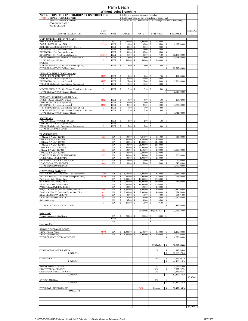| Palm Beach                                                                                             |                    |                            |                               |                                |                                        |                                             |                                                            |                         |                                                                         |                 |
|--------------------------------------------------------------------------------------------------------|--------------------|----------------------------|-------------------------------|--------------------------------|----------------------------------------|---------------------------------------------|------------------------------------------------------------|-------------------------|-------------------------------------------------------------------------|-----------------|
|                                                                                                        |                    |                            |                               | <b>Without Joint Trenching</b> |                                        |                                             |                                                            |                         |                                                                         |                 |
| <b>ASSUMPTIONS FOR UNDERGROUND CONSTRUCTION:</b><br><b>3 PHASE - FEEDER LENGTH</b><br>7829             |                    |                            |                               |                                |                                        | 1. Cable is in non concrete encased conduit | 2. Restoration Costs are part of trenching or boring unit. |                         |                                                                         |                 |
| 1 PHASE - FEEDER LENGTH<br>$\mathbf{0}$                                                                |                    |                            |                               |                                |                                        |                                             |                                                            |                         | 3. No Cost has beed included for ROW clearing (This should be minimal). |                 |
| <b>SECONDARY CABLE</b><br><b>TRANSFORMERS</b>                                                          |                    |                            |                               |                                |                                        |                                             |                                                            |                         |                                                                         |                 |
|                                                                                                        | # OF               |                            |                               |                                |                                        |                                             |                                                            |                         |                                                                         | <b>COST PER</b> |
| <b>BID UNIT DESCRIPTION</b>                                                                            | <b>UNITS</b>       | <b>UNIT</b>                |                               | <b>LABOR</b>                   |                                        | MAT'L                                       | <b>UNIT PRICE</b>                                          |                         | <b>EXT. PRICE</b>                                                       | FT              |
| <b>MAIN FEEDER - 3 PHASE PRIMARY</b>                                                                   |                    |                            |                               |                                |                                        |                                             |                                                            |                         |                                                                         |                 |
| 3 PH'RISER ASSEMBLY                                                                                    | $\mathbf 0$        | EA                         | s                             | 2,500.00                       | \$                                     | 4,000.00                                    | S<br>6,500.00                                              | s                       |                                                                         |                 |
| CABLE, 1-1000 AL, AI, CXN<br>DIRECTIONAL BORING (POWER) 10% Avg.                                       | 137280             | <b>FEET</b><br><b>FEET</b> | s<br>s                        | 10.00<br>100.00                | \$<br>s                                | 35.00<br>20.00                              | s<br>45.00<br>s<br>120.00                                  | s<br>s                  | 6,177,600.00<br>$\overline{\phantom{a}}$                                |                 |
| DUCTBANK-8-6" Concrete Encased<br>DUCTBANK-12-4" Concrete Encased                                      |                    | <b>FEET</b><br>FEET        | s<br>s                        | 45.00<br>40.00                 | \$<br>\$                               | 75.00<br>65.00                              | s<br>120.00<br>105.00<br>s                                 | s<br>s                  | ×.                                                                      |                 |
| DUCTBANK- 4-6" Non Concrete Encased                                                                    | 137280             | <b>FEET</b>                | s                             | 35.00                          | \$                                     | 40.00                                       | 75.00<br>s                                                 | s                       | 10.296.000.00                                                           |                 |
| TRENCHING (Includes Backfill, & Restoration)<br>PILINGS(One per 100 feet)                              | 137280<br>$\bf{0}$ | <b>FEET</b><br><b>FEET</b> | s<br>s                        | 15.00<br>500.00                | \$<br>\$                               | 15.00<br>500.00                             | S<br>30.00<br>s<br>1,000.00                                | \$<br>s                 | 4,118,400.00<br>$\sim$                                                  |                 |
| <b>SPLICES</b>                                                                                         |                    |                            |                               |                                |                                        |                                             |                                                            |                         |                                                                         |                 |
| MISCELLANEOUS (Traffic, Vault Racks, Splices)<br>TOTAL PRIMARY COST (Three Phase):                     | $\bf{0}$           | <b>FEET</b>                | s                             | 5.00                           | \$                                     | 5.00                                        | 10.00<br>S                                                 | s<br>\$                 | 20,592,000.00                                                           |                 |
| PRIMARY - THREE PHASE 200 Amp                                                                          |                    |                            |                               |                                |                                        |                                             |                                                            |                         |                                                                         |                 |
| CABLE, 4/0, AL URD, EPR or XLP                                                                         | 34320              | <b>FEET</b>                | s                             | 3.00                           | \$                                     | 9.00                                        | 12.00<br>Ś                                                 | s                       | 411,840.00                                                              |                 |
| DIRECTIONAL BORING (POWER)<br>DUCTBANK-2-4" concrete Encased                                           | $\bf{0}$<br>34320  | <b>FEET</b><br><b>FEET</b> | s<br>s                        | 100.00<br>25.00                | \$<br>\$                               | 20.00<br>25.00                              | s<br>120.00<br>50.00<br>s                                  | s<br>s                  | 1,716,000.00                                                            |                 |
| TRENCHING (Includes Conduits and Restoration)                                                          | $\bf{0}$           | <b>FEET</b>                | s                             | 15.00                          | \$                                     | 15.00                                       | s<br>30.00                                                 | s                       |                                                                         |                 |
| MISCELLANEOUS (Traffic, Elbows, Vault Racks, Splices)                                                  | $\bf{0}$           | <b>FEET</b>                | S                             | 2.50                           | \$                                     | 2.50                                        | 5.00<br>S                                                  | s                       |                                                                         |                 |
| TOTAL PRIMARY COST (Single Phase):                                                                     |                    |                            |                               |                                |                                        |                                             |                                                            | \$                      | 2,127,840.00                                                            |                 |
| PRIMARY - SINGLE PHASE-200 Amp-                                                                        |                    |                            |                               |                                |                                        |                                             |                                                            |                         |                                                                         |                 |
| CABLE, 1/0, AL URD, EPR or XLP<br>DIRECTIONAL BORING (POWER)                                           | 34320<br>$\bf{0}$  | <b>FEET</b><br><b>FEET</b> | s<br>$\overline{s}$           | 3.00<br>100.00                 | \$<br>$\overline{\mathsf{s}}$          | 3.00<br>20.00                               | 6.00<br>s<br>$\overline{s}$<br>120.00                      | \$<br>$\overline{s}$    | 205,920.00                                                              |                 |
| DUCTBANK-2-4" concrete Encased                                                                         | 34320              | <b>FEET</b>                | s                             | 25.00                          | \$                                     | 25.00                                       | s<br>50.00                                                 | \$                      | 1,716,000.00                                                            |                 |
| TRENCHING (Includes Conduits and Restoration)<br>MISCELLANEOUS (Traffic, Elbows, Vault Racks, Splices) | 0<br>$\bf{0}$      | <b>FEET</b><br><b>FEET</b> | s<br>s                        | 5.00<br>2.50                   | \$<br>\$                               | 5.00<br>2.50                                | s<br>10.00<br>s<br>5.00                                    | s<br>s                  | ٠                                                                       |                 |
| TOTAL PRIMARY COST (Single Phase):                                                                     |                    |                            |                               |                                |                                        |                                             |                                                            | \$                      | 1,921,920.00                                                            |                 |
| <b>SECONDARY</b>                                                                                       |                    |                            |                               |                                |                                        |                                             |                                                            |                         |                                                                         |                 |
| 600V SECONDARY CABLE (4/0 AL)<br>DIRECTIONAL BORING (POWER)                                            | $\bf{0}$           | <b>FEET</b><br><b>FEET</b> | s                             | 4.00                           | \$                                     | 2.00                                        | 6.00<br>s<br>\$<br>$\overline{\phantom{a}}$                | s<br>s                  | $\overline{\phantom{a}}$<br>$\sim$                                      |                 |
| TRENCHING (Includes Conduits and Restoration)                                                          | $\bf{0}$           | <b>FEET</b>                | s                             | 5.00                           | S                                      | 5.00                                        | s<br>10.00                                                 | s                       | à.                                                                      |                 |
| TOTAL SECONDARY COST:                                                                                  |                    |                            |                               |                                |                                        |                                             |                                                            | s                       | à.                                                                      |                 |
| <b>TRANSFORMERS</b><br>150 KVA, 3 PH, LF, 120/208                                                      | 100                | EA                         | s                             | 500.00                         | \$                                     | 4,850.00                                    | s<br>5,350.00                                              | s                       | 535,000.00                                                              |                 |
| 300 KVA, 3 PH, LF, 120/208                                                                             |                    | EA                         | s                             | 500.00                         | s                                      | 8,400.00                                    | s<br>8,900.00                                              | s                       | $\overline{\phantom{a}}$                                                |                 |
| 500 KVA, 3 PH, LF, 120/208<br>750 KVA, 3 PH, LF, 120/208                                               |                    | EA<br>EA                   | s<br>s                        | 500.00<br>500.00               | s<br>\$                                | $14,000.00$   \$<br>21,000.00               | 14,500.00<br>s<br>21,500.00                                | s<br>s                  | $\overline{\phantom{a}}$<br>÷,                                          |                 |
| 1000 KVA, 3 PH, LF, 120/208                                                                            |                    | EA                         | s                             | 500.00                         | \$                                     | 23,000.00                                   | 23,500.00<br>s                                             | s                       |                                                                         |                 |
| 50 KVA, 1 PH, LF, 120/240<br>100 KVA, 1 PH, LF, 120/240                                                | 500                | EA<br>EA                   | s<br>s                        | 500.00<br>500.00               | \$<br>\$                               | 1,500.00<br>2,200.00                        | s<br>2,000.00<br>2,700.00<br>s                             | \$<br>s                 | 1,000,000.00                                                            |                 |
| CONCRETE PAD, 3PH TRANSFORMER<br>CABLE WELL UNDER PADS                                                 | 600                | EA<br>EA                   | s<br>s                        | 500.00<br>500.00               | s<br>s                                 | 500.00<br>1,000.00                          | 1,000.00<br>s<br>s<br>1,500.00                             | s<br>s                  | 600,000.00                                                              |                 |
| GROUNDING, RODS & CABLE, 3 PH                                                                          | 600                | EA                         | s                             | 85.00                          | \$                                     | 30.00                                       | S<br>115.00                                                | \$                      | 69,000.00                                                               |                 |
| <b>LOAD BREAK 200A ELBOWS</b><br>TOTAL TRANSFORMER COST:                                               | 1600               | EA                         | $\overline{s}$                | 100.00                         | $\overline{\mathsf{s}}$                | 50.00                                       | $\overline{\mathbf{s}}$<br>150.00                          | $\mathbb S$<br>\$       | 240,000.00<br>1,909,000.00                                              |                 |
|                                                                                                        |                    |                            |                               |                                |                                        |                                             |                                                            |                         |                                                                         |                 |
| <b>JUNCTIONS &amp; SWITCHES</b><br>SECTIONALIZING JUNCTION (Three phase 600 A)                         | 274.56             | EA                         | s                             | 1,500.00                       | \$                                     | $3,000.00$ \ \$                             | 4,500.00                                                   | s                       | 1,235,520.00                                                            |                 |
| SECTIONALIZING JUNCTION (three phase 200A)<br>PME-6 with SMU 20 style fuses                            | 68.64              | EA<br>EA                   | $\mathbb S$<br>$\overline{s}$ | 500.00<br>2,000.00             | $\mathbb S$<br>$\overline{\mathbb{S}}$ | 2,000.00<br>14,000.00                       | $\mathbb S$<br>2,500.00<br>s<br>16,000.00                  | \$<br>s                 | 171,600.00                                                              |                 |
| PME-9 with SMU 20 style fuses                                                                          | 52                 | EA                         | s                             | 2,000.00                       | \$                                     | 16,000.00                                   | 18,000.00<br>S                                             | \$                      | 936,000.00                                                              |                 |
| PME-11 with SMU 20 style fuses<br>PADS FOR ABOVE EOUIPMENT                                             |                    | EA<br>EA                   | s                             | 2,000.00                       | \$                                     | 18,000.00<br>$500.00$   \$                  | 20,000.00<br>s<br>$1,000.00$   \$                          | s                       | $\overline{\phantom{a}}$                                                |                 |
| Large MANHOLES (Includes Excav., Backfill)                                                             | 275                | EA                         | s                             | 3,000.00 \$                    |                                        | $3,000.00$ \$                               | $6,000.00$ \ \$                                            |                         | 1,650,000.00                                                            |                 |
| Small MANHOLES (Includes Excav., Backfill)<br><b>DEAD FRONT 200A ELBOWS</b>                            | 69<br>1233         | EA<br>EA                   | s<br>s                        | $2,000.00$ \$<br>100.00        | s                                      | $2,000.00$ \ S<br>50.00                     | $4,000.00$ \$<br>s<br>150.00                               | s                       | 274,560.00<br>184,950.00                                                |                 |
| <b>DEAD FRONT 600A ELBOWS</b><br>Splices 600 Amp                                                       | 2943               | EA                         | s<br>s                        | 150.00<br>$235.00$ \ \$        | -S                                     | 200.00<br>$160.00$   \$                     | s<br>$350.00$ \$<br>$395.00$ S                             |                         | 1,030,050.00<br>$\sim$                                                  |                 |
|                                                                                                        | $\bf{0}$           | EA<br>EA                   | s                             | 235.00                         | S                                      | 160.00                                      | 395.00<br>s                                                | s                       |                                                                         |                 |
| TOTAL JUNCTION & SWITCH COST:                                                                          |                    |                            |                               |                                |                                        |                                             |                                                            | \$                      | 5,482,680.00                                                            |                 |
|                                                                                                        |                    |                            |                               |                                |                                        |                                             | SUBTOTAL: EQUIPMENT                                        | S                       | 32,033,440.00                                                           |                 |
| <b>MISC COST</b><br>Telecomm comunication Boxes                                                        |                    | EA                         | s                             | 250.00                         | S                                      | 250.00                                      | 500.00<br>s                                                | s                       | $\sim$                                                                  |                 |
|                                                                                                        | 0                  | <b>FEET</b><br>EA          |                               |                                |                                        |                                             | \$<br>×<br>\$<br>$\blacksquare$                            | s<br>s                  | $\overline{\phantom{a}}$<br>ä,                                          |                 |
| <b>Total misc Cost</b>                                                                                 |                    |                            |                               |                                |                                        |                                             |                                                            |                         |                                                                         |                 |
| <b>SERVICE ENTRANCE COSTS:</b>                                                                         |                    |                            |                               |                                |                                        |                                             |                                                            |                         |                                                                         |                 |
| TYPE 1 (Single Phase)<br>TYPE 2 (Three Phase)                                                          | 1500<br>200        | EA<br>EA                   | s<br>s                        | 1,000.00<br>1,000.00           | s<br>\$                                | 2,500.00<br>4,000.00                        | 3,500.00<br>s<br>s<br>5,000.00                             | \$                      | 5,250,000.00<br>1,000,000.00                                            |                 |
| TOTAL SERVICE ENTRANCE COSTS                                                                           |                    |                            |                               |                                |                                        |                                             |                                                            | \$<br>\$                | 6,250,000.00                                                            |                 |
|                                                                                                        |                    |                            |                               |                                |                                        |                                             |                                                            |                         |                                                                         |                 |
|                                                                                                        |                    |                            |                               |                                |                                        |                                             | SUBTOTAL:                                                  | s                       | 38,283,440.00                                                           |                 |
| <b>CONTRACTOR MOBILIZATION</b>                                                                         |                    |                            |                               |                                |                                        |                                             | 1%                                                         | \$                      | 382,834.40                                                              |                 |
| <b>SUBTOTAL</b>                                                                                        |                    |                            |                               |                                |                                        |                                             |                                                            | S                       | 38,666,274.40                                                           |                 |
| CONTINGENCY                                                                                            |                    |                            |                               |                                |                                        |                                             | 15%                                                        | \$                      | 5,799,941.16                                                            |                 |
| <b>SUBTOTAL</b>                                                                                        |                    |                            |                               |                                |                                        |                                             |                                                            | \$                      | 44,466,215.56                                                           |                 |
| <b>ENGINEERING &amp; DESIGN</b>                                                                        |                    |                            |                               |                                |                                        |                                             | 7%                                                         | s                       | 3,112,635.09                                                            |                 |
| PROJECT MANAGEMENT<br>OWNER'S OVERHEAD EXPENSE                                                         |                    |                            |                               |                                |                                        |                                             | 8%<br>3%                                                   | \$<br>\$                | 3,557,297.24<br>1,333,986.47                                            |                 |
| <b>SUBTOTAL</b>                                                                                        |                    |                            |                               |                                |                                        |                                             |                                                            | s                       | 52,470,134.36                                                           |                 |
| <b>ENVIRONMENTAL</b>                                                                                   |                    |                            |                               |                                |                                        |                                             | 0%                                                         | s                       |                                                                         | \$5,679.68      |
| <b>SUBTOTAL</b>                                                                                        |                    |                            |                               |                                |                                        |                                             |                                                            | $\overline{\mathbf{s}}$ | 52,470,134.36                                                           |                 |
| TOTAL FOR UNDERGROUND                                                                                  |                    |                            |                               |                                |                                        | 7829                                        | Footage                                                    | s                       | 52,470,134.36                                                           |                 |
| TOTAL / FT                                                                                             |                    |                            |                               |                                |                                        |                                             |                                                            |                         |                                                                         |                 |
|                                                                                                        |                    |                            |                               |                                |                                        |                                             |                                                            |                         |                                                                         |                 |
|                                                                                                        |                    |                            |                               |                                |                                        |                                             |                                                            |                         |                                                                         |                 |
|                                                                                                        |                    |                            |                               |                                |                                        |                                             |                                                            |                         |                                                                         |                 |
|                                                                                                        |                    |                            |                               |                                |                                        |                                             |                                                            |                         |                                                                         | \$6,702.02      |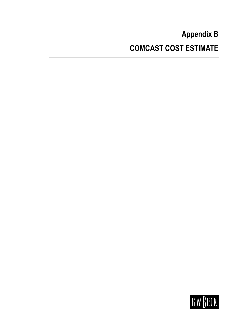# **Appendix B COMCAST COST ESTIMATE**

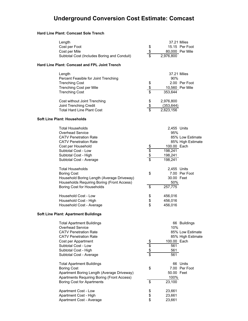### **Underground Conversion Cost Estimate: Comcast**

#### **Hard Line Plant: Comcast Sole Trench**

| Length<br>Cost per Foot<br>Cost per Mile<br>Subtotal Cost (Includes Boring and Conduit)                                                                                                                                      | \$<br>$\overline{\$}$                          | 37.21 Miles<br>2,976,800                                           | 15.15 Per Foot<br>80,000 Per Mile                     |
|------------------------------------------------------------------------------------------------------------------------------------------------------------------------------------------------------------------------------|------------------------------------------------|--------------------------------------------------------------------|-------------------------------------------------------|
| <b>Hard Line Plant: Comcast and FPL Joint Trench</b>                                                                                                                                                                         |                                                |                                                                    |                                                       |
| Length<br>Percent Feasible for Joint Trenching<br><b>Trenching Cost</b><br><b>Trenching Cost per Mile</b><br><b>Trenching Cost</b>                                                                                           | $\frac{6}{3}$                                  | 37.21 Miles<br>$90\%$<br>353,644                                   | 2.00 Per Foot<br>10,560 Per Mile                      |
| Cost without Joint Trenching<br>Joint Trenching Credit<br><b>Total Hard Line Plant Cost</b><br><b>Soft Line Plant: Households</b>                                                                                            | $\frac{6}{6}$<br>$\overline{\mathsf{s}}$       | 2,976,800<br>(353, 644)<br>2,623,156                               |                                                       |
| <b>Total Households</b><br>Overhead Service<br><b>CATV Penetration Rate</b><br><b>CATV Penetration Rate</b><br>Cost per Household<br>Subtotal Cost - Low<br>Subtotal Cost - High<br>Subtotal Cost - Average                  | $\frac{1}{2}$<br>\$<br>$\overline{\mathsf{s}}$ | 2,455 Units<br>95%<br>100.00 Each<br>198,241<br>198,241<br>198,241 | 85% Low Estimate<br>85% High Estimate                 |
| <b>Total Households</b><br><b>Boring Cost</b><br>Household Boring Length (Average Driveway)<br>Households Requiring Boring (Front Access)<br>Boring Cost for Households                                                      | \$<br>\$                                       | 2,455 Units<br>30.00 Feet<br>50%<br>257,775                        | 7.00 Per Foot                                         |
| Household Cost - Low<br>Household Cost - High<br>Household Cost - Average                                                                                                                                                    | \$<br>\$<br>\$                                 | 456,016<br>456,016<br>456,016                                      |                                                       |
| <b>Soft Line Plant: Apartment Buildings</b>                                                                                                                                                                                  |                                                |                                                                    |                                                       |
| <b>Total Apartment Buildings</b><br><b>Overhead Service</b><br><b>CATV Penetration Rate</b><br><b>CATV Penetration Rate</b><br>Cost per Appartment<br>Subtotal Cost - Low<br>Subtotal Cost - High<br>Subtotal Cost - Average | $\frac{6}{3}$                                  | 10%<br>100.00 Each<br>561<br>561<br>561                            | 66 Buildings<br>85% Low Estimate<br>85% High Estimate |
| <b>Total Apartment Buildings</b><br><b>Boring Cost</b><br>Apartment Boring Length (Average Driveway)<br>Apartments Requiring Boring (Front Access)<br><b>Boring Cost for Apartments</b>                                      | \$<br>\$                                       | 50.00 Feet<br>100%<br>23,100                                       | 66 Units<br>7.00 Per Foot                             |
| Apartment Cost - Low<br>Apartment Cost - High<br>Apartment Cost - Average                                                                                                                                                    | \$<br>\$<br>\$                                 | 23,661<br>23,661<br>23,661                                         |                                                       |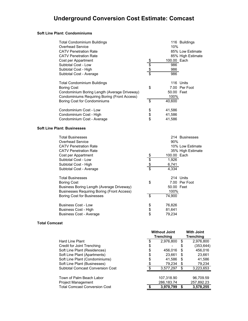#### **Soft Line Plant: Condominiums**

| <b>Total Condominium Buildings</b>                  |                 | 116 Buildings     |
|-----------------------------------------------------|-----------------|-------------------|
| <b>Overhead Service</b>                             |                 | 10%               |
| <b>CATV Penetration Rate</b>                        |                 | 85% Low Estimate  |
| <b>CATV Penetration Rate</b>                        |                 | 85% High Estimate |
| Cost per Appartment                                 |                 | 100.00 Each       |
| Subtotal Cost - Low                                 |                 | 986               |
| Subtotal Cost - High                                | $\frac{1}{2}$   | 986               |
| Subtotal Cost - Average                             |                 | 986               |
| <b>Total Condominium Buildings</b>                  |                 | 116 Units         |
| <b>Boring Cost</b>                                  | \$              | 7.00 Per Foot     |
| Condominium Boring Length (Average Driveway)        |                 | 50.00 Feet        |
| <b>Condominiums Requiring Boring (Front Access)</b> |                 | 100%              |
| Boring Cost for Condominiums                        | $\overline{\$}$ | 40,600            |
| Condominium Cost - Low                              | \$              | 41,586            |
| Condominium Cost - High                             | \$              | 41,586            |
| Condominium Cost - Average                          | \$              | 41,586            |
| <b>Soft Line Plant: Businesses</b>                  |                 |                   |
| <b>Total Businesses</b>                             |                 | 214 Businesses    |
| <b>Overhead Service</b>                             |                 | 90%               |
| <b>CATV Penetration Rate</b>                        |                 | 10% Low Estimate  |
| <b>CATV Penetration Rate</b>                        |                 | 35% High Estimate |
| Cost per Appartment                                 |                 | 100.00 Each       |
| Subtotal Cost - Low                                 | \$\$\$\$        | 1,926             |
| Subtotal Cost - High                                |                 | 6,741             |
| Subtotal Cost - Average                             |                 | 4,334             |
| <b>Total Businesses</b>                             |                 | 214 Units         |
| <b>Boring Cost</b>                                  | \$              | 7.00 Per Foot     |
| Business Boring Length (Average Driveway)           |                 | 50.00 Feet        |
| <b>Businesses Requiring Boring (Front Access)</b>   |                 | 100%              |
| <b>Boring Cost for Businesses</b>                   | $\overline{\$}$ | 74,900            |
| <b>Business Cost - Low</b>                          |                 | 76,826            |
| <b>Business Cost - High</b>                         | \$<br>\$        | 81,641            |
| <b>Business Cost - Average</b>                      |                 | 79,234            |
|                                                     |                 |                   |

#### **Total Comcast**

|                                         | <b>Without Joint</b><br><b>Trenching</b> |            |    | <b>With Joint</b><br>Trenching |  |
|-----------------------------------------|------------------------------------------|------------|----|--------------------------------|--|
| <b>Hard Line Plant</b>                  | \$.                                      | 2,976,800  | S  | 2,976,800                      |  |
| Credit for Joint Trenching              | \$                                       |            | \$ | (353, 644)                     |  |
| Soft Line Plant (Residences)            | \$                                       | 456,016    | S  | 456,016                        |  |
| Soft Line Plant (Apartments)            | \$                                       | 23,661     | S  | 23,661                         |  |
| Soft Line Plant (Condominiums)          | \$                                       | 41,586     | S  | 41,586                         |  |
| Soft Line Plant (Businesses)            |                                          | 79,234     | S  | 79,234                         |  |
| <b>Subtotal Comcast Conversion Cost</b> | ደ                                        | 3,577,297  | S  | 3,223,653                      |  |
|                                         |                                          |            |    |                                |  |
| Town of Palm Beach Labor                |                                          | 107,318.90 |    | 96,709.59                      |  |
| <b>Project Management</b>               |                                          | 286,183.74 |    | 257,892.23                     |  |
| <b>Total Comcast Conversion Cost</b>    |                                          | 3,970,799  |    | 3,578,255                      |  |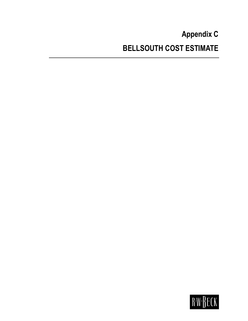# **Appendix C BELLSOUTH COST ESTIMATE**